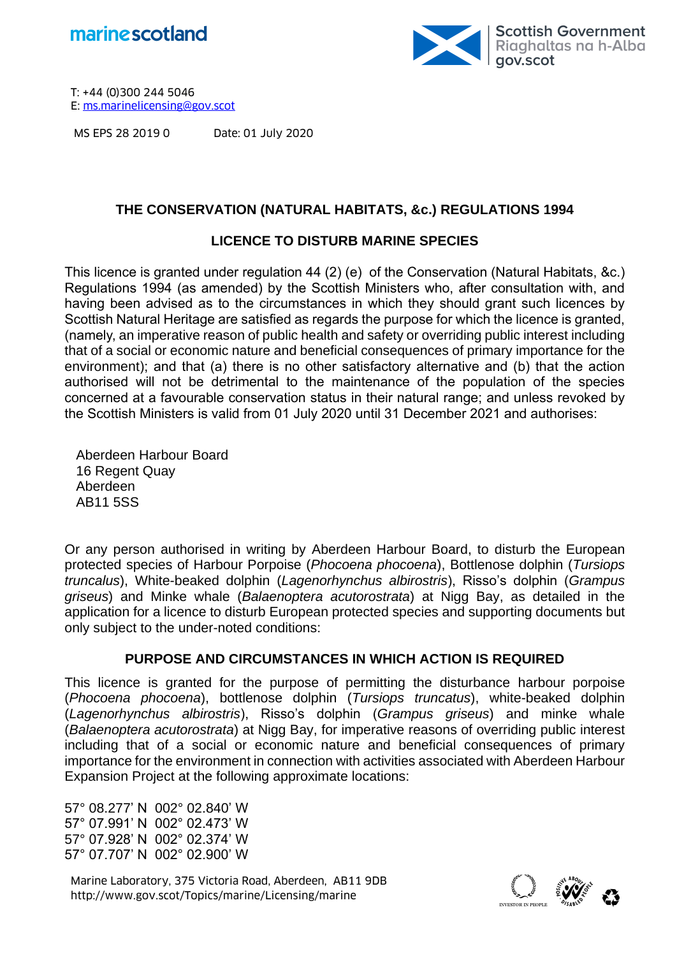



MS EPS 28 2019 0 Date: 01 July 2020

## **THE CONSERVATION (NATURAL HABITATS, &c.) REGULATIONS 1994**

## **LICENCE TO DISTURB MARINE SPECIES**

This licence is granted under regulation 44 (2) (e) of the Conservation (Natural Habitats, &c.) Regulations 1994 (as amended) by the Scottish Ministers who, after consultation with, and having been advised as to the circumstances in which they should grant such licences by Scottish Natural Heritage are satisfied as regards the purpose for which the licence is granted, (namely, an imperative reason of public health and safety or overriding public interest including that of a social or economic nature and beneficial consequences of primary importance for the environment); and that (a) there is no other satisfactory alternative and (b) that the action authorised will not be detrimental to the maintenance of the population of the species concerned at a favourable conservation status in their natural range; and unless revoked by the Scottish Ministers is valid from 01 July 2020 until 31 December 2021 and authorises:

Aberdeen Harbour Board 16 Regent Quay Aberdeen AB11 5SS

Or any person authorised in writing by Aberdeen Harbour Board, to disturb the European protected species of Harbour Porpoise (*Phocoena phocoena*), Bottlenose dolphin (*Tursiops truncalus*), White-beaked dolphin (*Lagenorhynchus albirostris*), Risso's dolphin (*Grampus griseus*) and Minke whale (*Balaenoptera acutorostrata*) at Nigg Bay, as detailed in the application for a licence to disturb European protected species and supporting documents but only subject to the under-noted conditions:

## **PURPOSE AND CIRCUMSTANCES IN WHICH ACTION IS REQUIRED**

This licence is granted for the purpose of permitting the disturbance harbour porpoise (*Phocoena phocoena*), bottlenose dolphin (*Tursiops truncatus*), white-beaked dolphin (*Lagenorhynchus albirostris*), Risso's dolphin (*Grampus griseus*) and minke whale (*Balaenoptera acutorostrata*) at Nigg Bay, for imperative reasons of overriding public interest including that of a social or economic nature and beneficial consequences of primary importance for the environment in connection with activities associated with Aberdeen Harbour Expansion Project at the following approximate locations:

57° 08.277' N 002° 02.840' W 57° 07.991' N 002° 02.473' W 57° 07.928' N 002° 02.374' W 57° 07.707' N 002° 02.900' W

Marine Laboratory, 375 Victoria Road, Aberdeen, AB11 9DB<br>http://www.gov.scot/Topics/marine/Licensing/marine

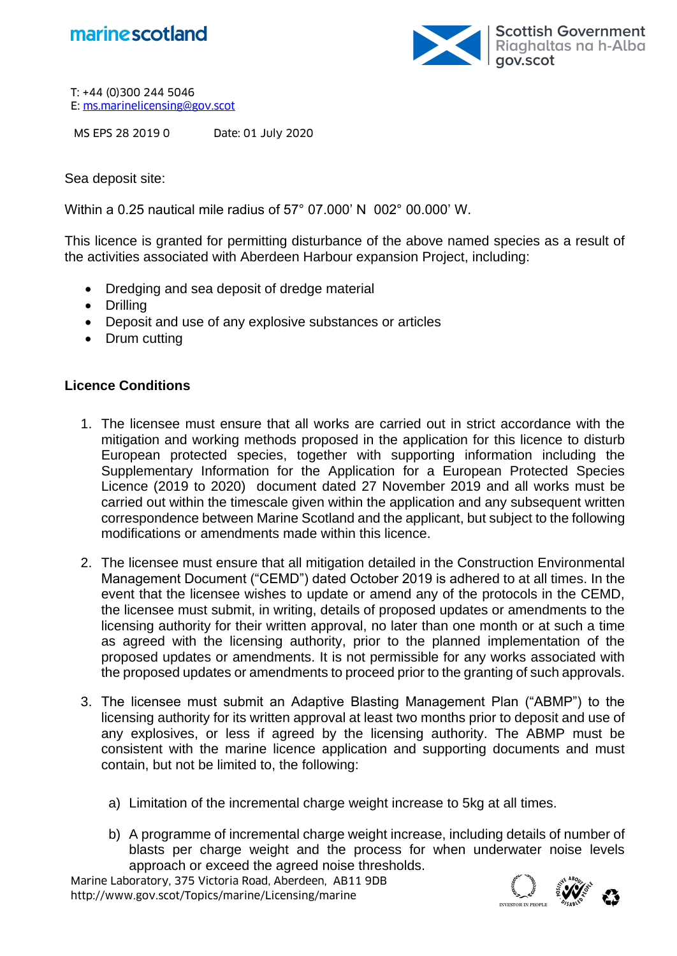



MS EPS 28 2019 0 Date: 01 July 2020

Sea deposit site:

Within a 0.25 nautical mile radius of 57° 07.000' N 002° 00.000' W.

This licence is granted for permitting disturbance of the above named species as a result of the activities associated with Aberdeen Harbour expansion Project, including:

- Dredging and sea deposit of dredge material
- Drilling
- Deposit and use of any explosive substances or articles
- Drum cutting

## **Licence Conditions**

- 1. The licensee must ensure that all works are carried out in strict accordance with the mitigation and working methods proposed in the application for this licence to disturb European protected species, together with supporting information including the Supplementary Information for the Application for a European Protected Species Licence (2019 to 2020) document dated 27 November 2019 and all works must be carried out within the timescale given within the application and any subsequent written correspondence between Marine Scotland and the applicant, but subject to the following modifications or amendments made within this licence.
- 2. The licensee must ensure that all mitigation detailed in the Construction Environmental Management Document ("CEMD") dated October 2019 is adhered to at all times. In the event that the licensee wishes to update or amend any of the protocols in the CEMD, the licensee must submit, in writing, details of proposed updates or amendments to the licensing authority for their written approval, no later than one month or at such a time as agreed with the licensing authority, prior to the planned implementation of the proposed updates or amendments. It is not permissible for any works associated with the proposed updates or amendments to proceed prior to the granting of such approvals.
- 3. The licensee must submit an Adaptive Blasting Management Plan ("ABMP") to the licensing authority for its written approval at least two months prior to deposit and use of any explosives, or less if agreed by the licensing authority. The ABMP must be consistent with the marine licence application and supporting documents and must contain, but not be limited to, the following:
	- a) Limitation of the incremental charge weight increase to 5kg at all times.
	- b) A programme of incremental charge weight increase, including details of number of blasts per charge weight and the process for when underwater noise levels approach or exceed the agreed noise thresholds.

Marine Laboratory, 375 Victoria Road, Aberdeen, AB11 9DB<br>http://www.gov.scot/Topics/marine/Licensing/marine

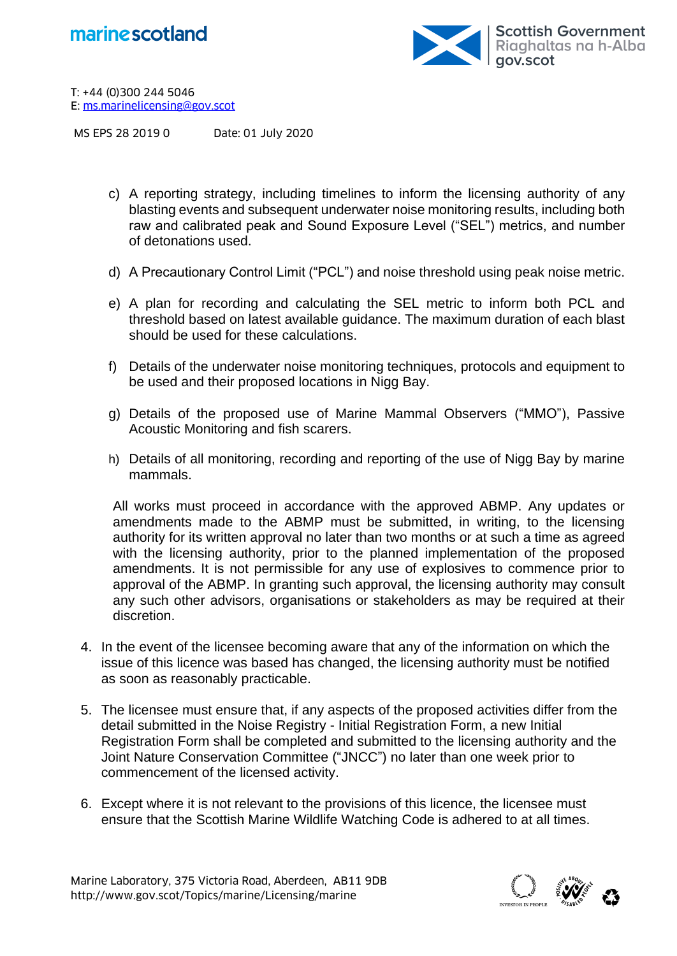



MS EPS 28 2019 0 Date: 01 July 2020

- c) A reporting strategy, including timelines to inform the licensing authority of any blasting events and subsequent underwater noise monitoring results, including both raw and calibrated peak and Sound Exposure Level ("SEL") metrics, and number of detonations used.
- d) A Precautionary Control Limit ("PCL") and noise threshold using peak noise metric.
- e) A plan for recording and calculating the SEL metric to inform both PCL and threshold based on latest available guidance. The maximum duration of each blast should be used for these calculations.
- f) Details of the underwater noise monitoring techniques, protocols and equipment to be used and their proposed locations in Nigg Bay.
- g) Details of the proposed use of Marine Mammal Observers ("MMO"), Passive Acoustic Monitoring and fish scarers.
- h) Details of all monitoring, recording and reporting of the use of Nigg Bay by marine mammals.

All works must proceed in accordance with the approved ABMP. Any updates or amendments made to the ABMP must be submitted, in writing, to the licensing authority for its written approval no later than two months or at such a time as agreed with the licensing authority, prior to the planned implementation of the proposed amendments. It is not permissible for any use of explosives to commence prior to approval of the ABMP. In granting such approval, the licensing authority may consult any such other advisors, organisations or stakeholders as may be required at their discretion.

- 4. In the event of the licensee becoming aware that any of the information on which the issue of this licence was based has changed, the licensing authority must be notified as soon as reasonably practicable.
- 5. The licensee must ensure that, if any aspects of the proposed activities differ from the detail submitted in the Noise Registry - Initial Registration Form, a new Initial Registration Form shall be completed and submitted to the licensing authority and the Joint Nature Conservation Committee ("JNCC") no later than one week prior to commencement of the licensed activity.
- 6. Except where it is not relevant to the provisions of this licence, the licensee must ensure that the Scottish Marine Wildlife Watching Code is adhered to at all times.